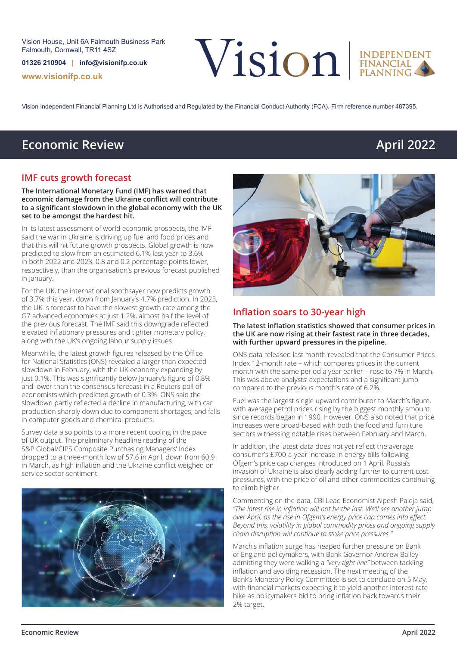Vision House, Unit 6A Falmouth Business Park Falmouth, Cornwall, TR11 4SZ

**01326 210904 | info@visionifp.co.uk**

**www.visionifp.co.uk**

Vision EINDEPENDENT



Vision Independent Financial Planning Ltd is Authorised and Regulated by the Financial Conduct Authority (FCA). Firm reference number 487395.

# **Economic Review April 2022**

#### **IMF cuts growth forecast**

**The International Monetary Fund (IMF) has warned that economic damage from the Ukraine conflict will contribute to a significant slowdown in the global economy with the UK set to be amongst the hardest hit.**

In its latest assessment of world economic prospects, the IMF said the war in Ukraine is driving up fuel and food prices and that this will hit future growth prospects. Global growth is now predicted to slow from an estimated 6.1% last year to 3.6% in both 2022 and 2023, 0.8 and 0.2 percentage points lower, respectively, than the organisation's previous forecast published in January.

For the UK, the international soothsayer now predicts growth of 3.7% this year, down from January's 4.7% prediction. In 2023, the UK is forecast to have the slowest growth rate among the G7 advanced economies at just 1.2%, almost half the level of the previous forecast. The IMF said this downgrade reflected elevated inflationary pressures and tighter monetary policy, along with the UK's ongoing labour supply issues.

Meanwhile, the latest growth figures released by the Office for National Statistics (ONS) revealed a larger than expected slowdown in February, with the UK economy expanding by just 0.1%. This was significantly below January's figure of 0.8% and lower than the consensus forecast in a Reuters poll of economists which predicted growth of 0.3%. ONS said the slowdown partly reflected a decline in manufacturing, with car production sharply down due to component shortages, and falls in computer goods and chemical products.

Survey data also points to a more recent cooling in the pace of UK output. The preliminary headline reading of the S&P Global/CIPS Composite Purchasing Managers' Index dropped to a three-month low of 57.6 in April, down from 60.9 in March, as high inflation and the Ukraine conflict weighed on service sector sentiment.



#### **Inflation soars to 30-year high**

**The latest inflation statistics showed that consumer prices in the UK are now rising at their fastest rate in three decades, with further upward pressures in the pipeline.**

ONS data released last month revealed that the Consumer Prices Index 12-month rate – which compares prices in the current month with the same period a year earlier – rose to 7% in March. This was above analysts' expectations and a significant jump compared to the previous month's rate of 6.2%.

Fuel was the largest single upward contributor to March's figure, with average petrol prices rising by the biggest monthly amount since records began in 1990. However, ONS also noted that price increases were broad-based with both the food and furniture sectors witnessing notable rises between February and March.

In addition, the latest data does not yet reflect the average consumer's £700-a-year increase in energy bills following Ofgem's price cap changes introduced on 1 April. Russia's invasion of Ukraine is also clearly adding further to current cost pressures, with the price of oil and other commodities continuing to climb higher.

Commenting on the data, CBI Lead Economist Alpesh Paleja said, *"The latest rise in inflation will not be the last. We'll see another jump over April, as the rise in Ofgem's energy price cap comes into effect. Beyond this, volatility in global commodity prices and ongoing supply chain disruption will continue to stoke price pressures."* 

March's inflation surge has heaped further pressure on Bank of England policymakers, with Bank Governor Andrew Bailey admitting they were walking a *"very tight line"* between tackling inflation and avoiding recession. The next meeting of the Bank's Monetary Policy Committee is set to conclude on 5 May, with financial markets expecting it to yield another interest rate hike as policymakers bid to bring inflation back towards their 2% target.